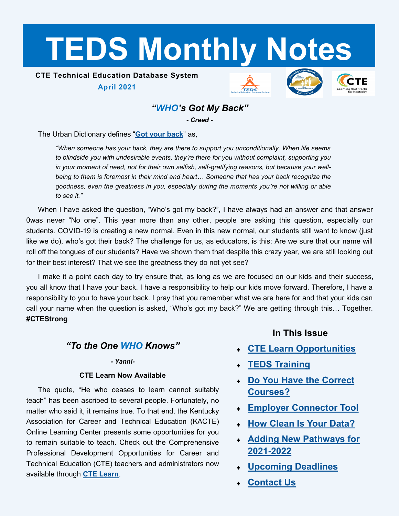# <span id="page-0-0"></span>**TEDS Monthly Notes**

# **CTE Technical Education Database System**

**April 2021**







# *"WHO's Got My Back"*

*- Creed -*

The Urban Dictionary defines "**[Got your back](https://www.urbandictionary.com/define.php?term=Got%20your%20back)**" as,

*"When someone has your back, they are there to support you unconditionally. When life seems to blindside you with undesirable events, they're there for you without complaint, supporting you in your moment of need, not for their own selfish, self-gratifying reasons, but because your wellbeing to them is foremost in their mind and heart… Someone that has your back recognize the goodness, even the greatness in you, especially during the moments you're not willing or able to see it."*

When I have asked the question, "Who's got my back?", I have always had an answer and that answer 0was never "No one". This year more than any other, people are asking this question, especially our students. COVID-19 is creating a new normal. Even in this new normal, our students still want to know (just like we do), who's got their back? The challenge for us, as educators, is this: Are we sure that our name will roll off the tongues of our students? Have we shown them that despite this crazy year, we are still looking out for their best interest? That we see the greatness they do not yet see?

I make it a point each day to try ensure that, as long as we are focused on our kids and their success, you all know that I have your back. I have a responsibility to help our kids move forward. Therefore, I have a responsibility to you to have your back. I pray that you remember what we are here for and that your kids can call your name when the question is asked, "Who's got my back?" We are getting through this… Together. **#CTEStrong**

## *"To the One WHO Knows"*

#### *- Yanni-*

#### **CTE Learn Now Available**

The quote, "He who ceases to learn cannot suitably teach" has been ascribed to several people. Fortunately, no matter who said it, it remains true. To that end, the Kentucky Association for Career and Technical Education (KACTE) Online Learning Center presents some opportunities for you to remain suitable to teach. Check out the Comprehensive Professional Development Opportunities for Career and Technical Education (CTE) teachers and administrators now available through **[CTE Learn](https://ky.ctelearn.org/)**.

**In This Issue**

- **[CTE Learn Opportunities](#page-0-0)**
- **[TEDS Training](#page-1-0)**
- **[Do You Have the Correct](#page-1-0)  [Courses?](#page-1-0)**
- **[Employer Connector Tool](#page-2-0)**
- **[How Clean Is Your Data?](#page-2-0)**
- **[Adding New Pathways for](#page-3-0)  [2021](#page-3-0)-2022**
- **[Upcoming Deadlines](#page-3-0)**
- **[Contact Us](#page-3-0)**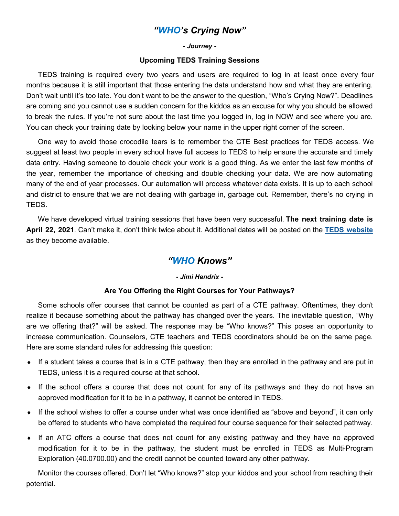## *"WHO's Crying Now"*

*- Journey -*

#### **Upcoming TEDS Training Sessions**

<span id="page-1-0"></span>TEDS training is required every two years and users are required to log in at least once every four months because it is still important that those entering the data understand how and what they are entering. Don't wait until it's too late. You don't want to be the answer to the question, "Who's Crying Now?". Deadlines are coming and you cannot use a sudden concern for the kiddos as an excuse for why you should be allowed to break the rules. If you're not sure about the last time you logged in, log in NOW and see where you are. You can check your training date by looking below your name in the upper right corner of the screen.

One way to avoid those crocodile tears is to remember the CTE Best practices for TEDS access. We suggest at least two people in every school have full access to TEDS to help ensure the accurate and timely data entry. Having someone to double check your work is a good thing. As we enter the last few months of the year, remember the importance of checking and double checking your data. We are now automating many of the end of year processes. Our automation will process whatever data exists. It is up to each school and district to ensure that we are not dealing with garbage in, garbage out. Remember, there's no crying in TEDS.

We have developed virtual training sessions that have been very successful. **The next training date is April 22, 2021**. Can't make it, don't think twice about it. Additional dates will be posted on the **[TEDS website](https://education.ky.gov/CTE/teds/Pages/default.aspx)** as they become available.

## *"WHO Knows"*

#### *- Jimi Hendrix -*

#### **Are You Offering the Right Courses for Your Pathways?**

Some schools offer courses that cannot be counted as part of a CTE pathway. Oftentimes, they don't realize it because something about the pathway has changed over the years. The inevitable question, "Why are we offering that?" will be asked. The response may be "Who knows?" This poses an opportunity to increase communication. Counselors, CTE teachers and TEDS coordinators should be on the same page. Here are some standard rules for addressing this question:

- If a student takes a course that is in a CTE pathway, then they are enrolled in the pathway and are put in TEDS, unless it is a required course at that school.
- If the school offers a course that does not count for any of its pathways and they do not have an approved modification for it to be in a pathway, it cannot be entered in TEDS.
- If the school wishes to offer a course under what was once identified as "above and beyond", it can only be offered to students who have completed the required four course sequence for their selected pathway.
- If an ATC offers a course that does not count for any existing pathway and they have no approved modification for it to be in the pathway, the student must be enrolled in TEDS as Multi-Program Exploration (40.0700.00) and the credit cannot be counted toward any other pathway.

Monitor the courses offered. Don't let "Who knows?" stop your kiddos and your school from reaching their potential.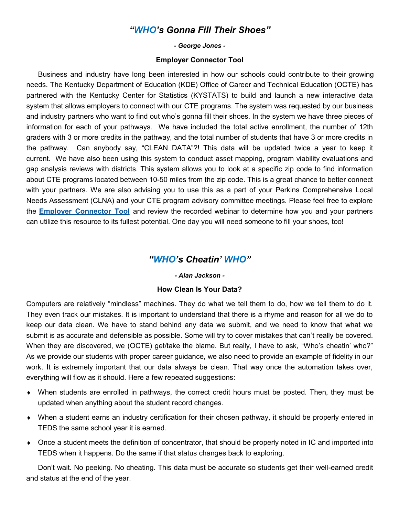## *"WHO's Gonna Fill Their Shoes"*

#### *- George Jones -*

#### **Employer Connector Tool**

<span id="page-2-0"></span>Business and industry have long been interested in how our schools could contribute to their growing needs. The Kentucky Department of Education (KDE) Office of Career and Technical Education (OCTE) has partnered with the Kentucky Center for Statistics (KYSTATS) to build and launch a new interactive data system that allows employers to connect with our CTE programs. The system was requested by our business and industry partners who want to find out who's gonna fill their shoes. In the system we have three pieces of information for each of your pathways. We have included the total active enrollment, the number of 12th graders with 3 or more credits in the pathway, and the total number of students that have 3 or more credits in the pathway. Can anybody say, "CLEAN DATA"?! This data will be updated twice a year to keep it current. We have also been using this system to conduct asset mapping, program viability evaluations and gap analysis reviews with districts. This system allows you to look at a specific zip code to find information about CTE programs located between 10-50 miles from the zip code. This is a great chance to better connect with your partners. We are also advising you to use this as a part of your Perkins Comprehensive Local Needs Assessment (CLNA) and your CTE program advisory committee meetings. Please feel free to explore the **[Employer Connector Tool](https://kystats.ky.gov/Reports/Tableau/CTESearchSystem)** and review the recorded webinar to determine how you and your partners can utilize this resource to its fullest potential. One day you will need someone to fill your shoes, too!

### *"WHO's Cheatin' WHO"*

#### *- Alan Jackson -*

#### **How Clean Is Your Data?**

Computers are relatively "mindless" machines. They do what we tell them to do, how we tell them to do it. They even track our mistakes. It is important to understand that there is a rhyme and reason for all we do to keep our data clean. We have to stand behind any data we submit, and we need to know that what we submit is as accurate and defensible as possible. Some will try to cover mistakes that can't really be covered. When they are discovered, we (OCTE) get/take the blame. But really, I have to ask, "Who's cheatin' who?" As we provide our students with proper career guidance, we also need to provide an example of fidelity in our work. It is extremely important that our data always be clean. That way once the automation takes over, everything will flow as it should. Here a few repeated suggestions:

- When students are enrolled in pathways, the correct credit hours must be posted. Then, they must be updated when anything about the student record changes.
- When a student earns an industry certification for their chosen pathway, it should be properly entered in TEDS the same school year it is earned.
- Once a student meets the definition of concentrator, that should be properly noted in IC and imported into TEDS when it happens. Do the same if that status changes back to exploring.

Don't wait. No peeking. No cheating. This data must be accurate so students get their well-earned credit and status at the end of the year.